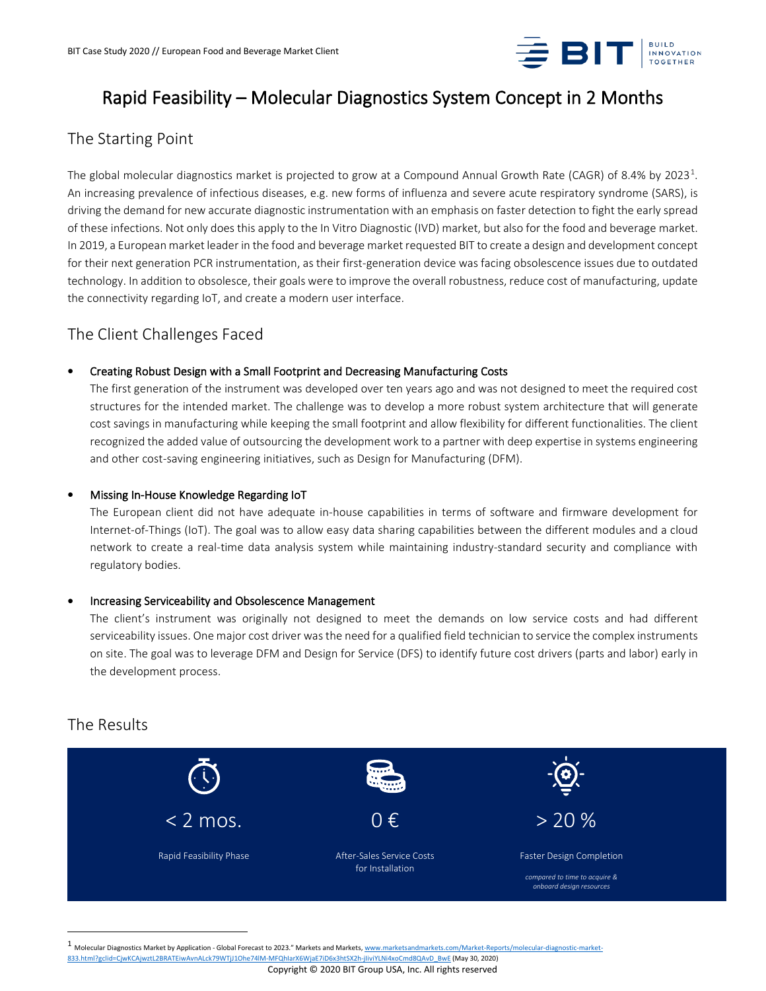

# Rapid Feasibility – Molecular Diagnostics System Concept in 2 Months

## The Starting Point

The global molecular diagnostics market is projected to grow at a Compound Annual Growth Rate (CAGR) of 8.4% by 2023<sup>[1](#page-0-0)</sup>. An increasing prevalence of infectious diseases, e.g. new forms of influenza and severe acute respiratory syndrome (SARS), is driving the demand for new accurate diagnostic instrumentation with an emphasis on faster detection to fight the early spread of these infections. Not only does this apply to the In Vitro Diagnostic (IVD) market, but also for the food and beverage market. In 2019, a European market leader in the food and beverage market requested BIT to create a design and development concept for their next generation PCR instrumentation, as their first-generation device was facing obsolescence issues due to outdated technology. In addition to obsolesce, their goals were to improve the overall robustness, reduce cost of manufacturing, update the connectivity regarding IoT, and create a modern user interface.

### The Client Challenges Faced

### • Creating Robust Design with a Small Footprint and Decreasing Manufacturing Costs

The first generation of the instrument was developed over ten years ago and was not designed to meet the required cost structures for the intended market. The challenge was to develop a more robust system architecture that will generate cost savings in manufacturing while keeping the small footprint and allow flexibility for different functionalities. The client recognized the added value of outsourcing the development work to a partner with deep expertise in systems engineering and other cost-saving engineering initiatives, such as Design for Manufacturing (DFM).

### • Missing In-House Knowledge Regarding IoT

The European client did not have adequate in-house capabilities in terms of software and firmware development for Internet-of-Things (IoT). The goal was to allow easy data sharing capabilities between the different modules and a cloud network to create a real-time data analysis system while maintaining industry-standard security and compliance with regulatory bodies.

#### • Increasing Serviceability and Obsolescence Management

The client's instrument was originally not designed to meet the demands on low service costs and had different serviceability issues. One major cost driver was the need for a qualified field technician to service the complex instruments on site. The goal was to leverage DFM and Design for Service (DFS) to identify future cost drivers (parts and labor) early in the development process.

### The Results



<span id="page-0-0"></span>Molecular Diagnostics Market by Application - Global Forecast to 2023." Markets and Markets[, www.marketsandmarkets.com/Market-Reports/molecular-diagnostic-market-](http://www.marketsandmarkets.com/Market-Reports/molecular-diagnostic-market-833.html?gclid=CjwKCAjwztL2BRATEiwAvnALck79WTjJ1Ohe74lM-MFQhIarX6WjaE7iD6x3htSX2h-jIiviYLNi4xoCmd8QAvD_BwE)

Copyright © 2020 BIT Group USA, Inc. All rights reserved [833.html?gclid=CjwKCAjwztL2BRATEiwAvnALck79WTjJ1Ohe74lM-MFQhIarX6WjaE7iD6x3htSX2h-jIiviYLNi4xoCmd8QAvD\\_BwE](http://www.marketsandmarkets.com/Market-Reports/molecular-diagnostic-market-833.html?gclid=CjwKCAjwztL2BRATEiwAvnALck79WTjJ1Ohe74lM-MFQhIarX6WjaE7iD6x3htSX2h-jIiviYLNi4xoCmd8QAvD_BwE) (May 30, 2020)